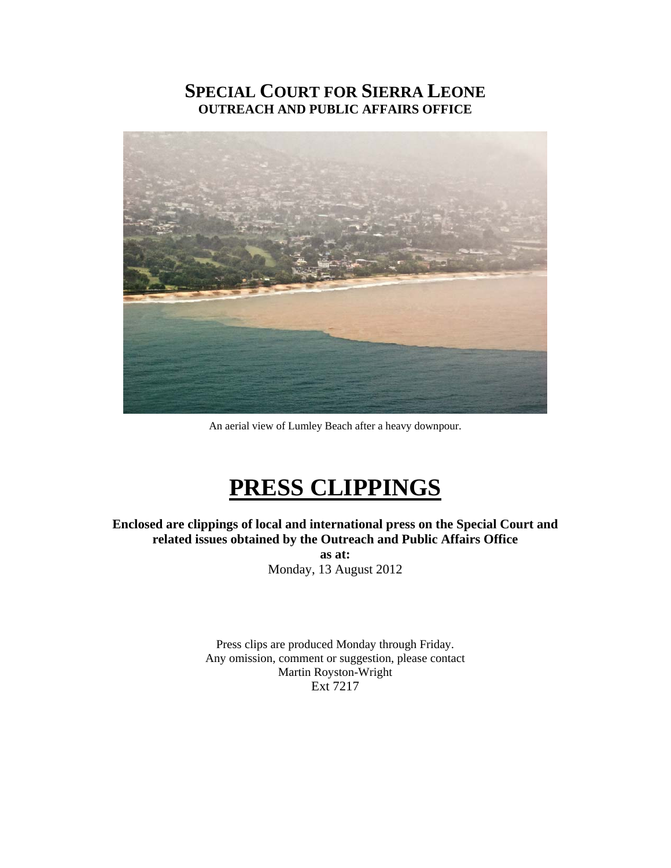# **SPECIAL COURT FOR SIERRA LEONE OUTREACH AND PUBLIC AFFAIRS OFFICE**



An aerial view of Lumley Beach after a heavy downpour.

# **PRESS CLIPPINGS**

**Enclosed are clippings of local and international press on the Special Court and related issues obtained by the Outreach and Public Affairs Office** 

**as at:**  Monday, 13 August 2012

Press clips are produced Monday through Friday. Any omission, comment or suggestion, please contact Martin Royston-Wright Ext 7217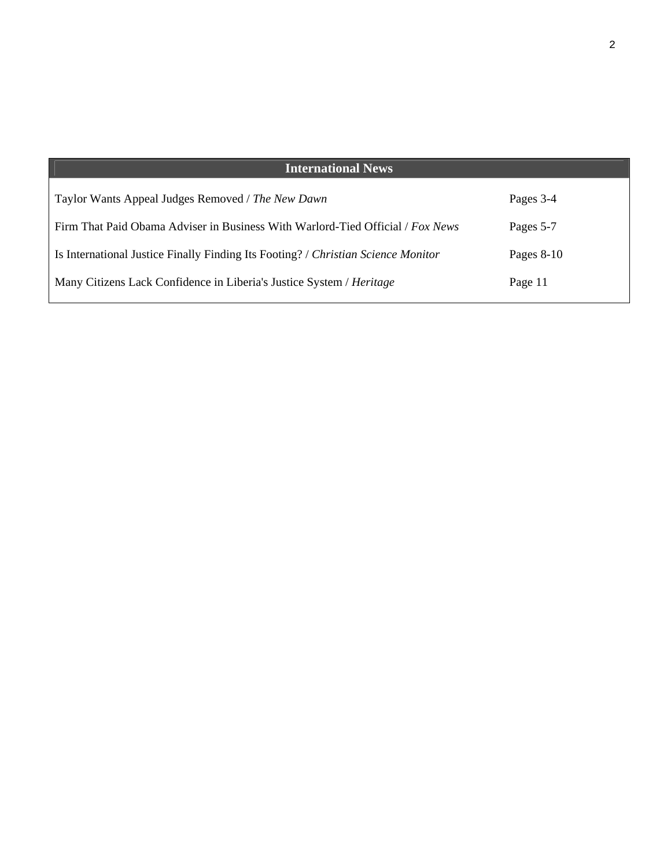| <b>International News</b>                                                         |              |
|-----------------------------------------------------------------------------------|--------------|
| Taylor Wants Appeal Judges Removed / The New Dawn                                 | Pages 3-4    |
| Firm That Paid Obama Adviser in Business With Warlord-Tied Official / Fox News    | Pages 5-7    |
| Is International Justice Finally Finding Its Footing? / Christian Science Monitor | Pages $8-10$ |
| Many Citizens Lack Confidence in Liberia's Justice System / Heritage              | Page 11      |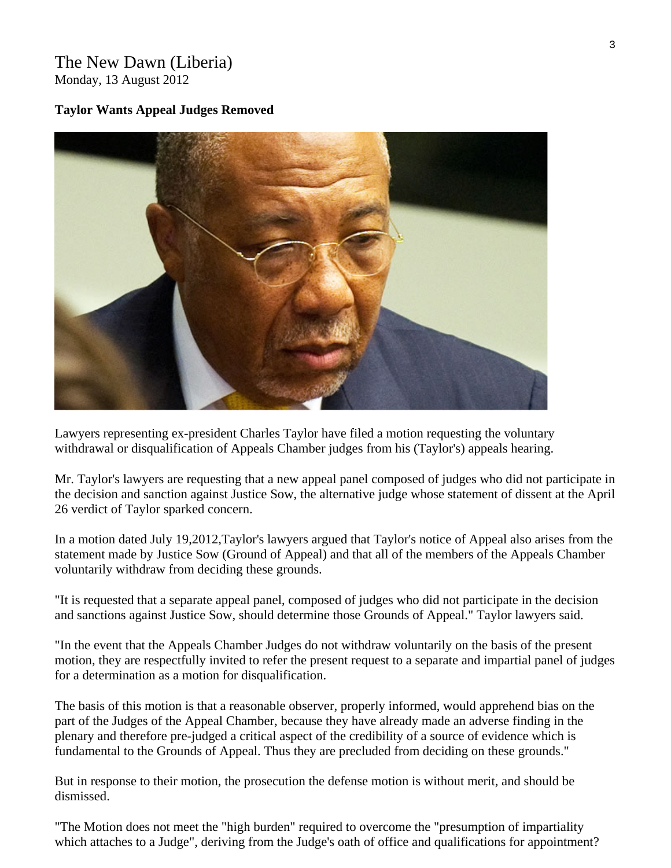# The New Dawn (Liberia) Monday, 13 August 2012

#### **Taylor Wants Appeal Judges Removed**



Lawyers representing ex-president Charles Taylor have filed a motion requesting the voluntary withdrawal or disqualification of Appeals Chamber judges from his (Taylor's) appeals hearing.

Mr. Taylor's lawyers are requesting that a new appeal panel composed of judges who did not participate in the decision and sanction against Justice Sow, the alternative judge whose statement of dissent at the April 26 verdict of Taylor sparked concern.

In a motion dated July 19,2012,Taylor's lawyers argued that Taylor's notice of Appeal also arises from the statement made by Justice Sow (Ground of Appeal) and that all of the members of the Appeals Chamber voluntarily withdraw from deciding these grounds.

"It is requested that a separate appeal panel, composed of judges who did not participate in the decision and sanctions against Justice Sow, should determine those Grounds of Appeal." Taylor lawyers said.

"In the event that the Appeals Chamber Judges do not withdraw voluntarily on the basis of the present motion, they are respectfully invited to refer the present request to a separate and impartial panel of judges for a determination as a motion for disqualification.

The basis of this motion is that a reasonable observer, properly informed, would apprehend bias on the part of the Judges of the Appeal Chamber, because they have already made an adverse finding in the plenary and therefore pre-judged a critical aspect of the credibility of a source of evidence which is fundamental to the Grounds of Appeal. Thus they are precluded from deciding on these grounds."

But in response to their motion, the prosecution the defense motion is without merit, and should be dismissed.

"The Motion does not meet the "high burden" required to overcome the "presumption of impartiality which attaches to a Judge", deriving from the Judge's oath of office and qualifications for appointment?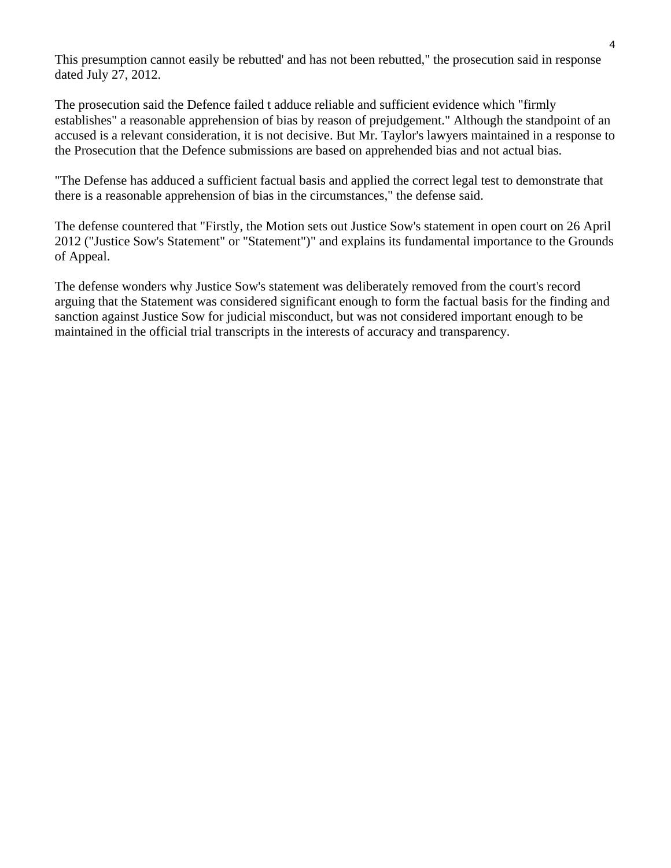This presumption cannot easily be rebutted' and has not been rebutted," the prosecution said in response dated July 27, 2012.

The prosecution said the Defence failed t adduce reliable and sufficient evidence which "firmly establishes" a reasonable apprehension of bias by reason of prejudgement." Although the standpoint of an accused is a relevant consideration, it is not decisive. But Mr. Taylor's lawyers maintained in a response to the Prosecution that the Defence submissions are based on apprehended bias and not actual bias.

"The Defense has adduced a sufficient factual basis and applied the correct legal test to demonstrate that there is a reasonable apprehension of bias in the circumstances," the defense said.

The defense countered that "Firstly, the Motion sets out Justice Sow's statement in open court on 26 April 2012 ("Justice Sow's Statement" or "Statement")" and explains its fundamental importance to the Grounds of Appeal.

The defense wonders why Justice Sow's statement was deliberately removed from the court's record arguing that the Statement was considered significant enough to form the factual basis for the finding and sanction against Justice Sow for judicial misconduct, but was not considered important enough to be maintained in the official trial transcripts in the interests of accuracy and transparency.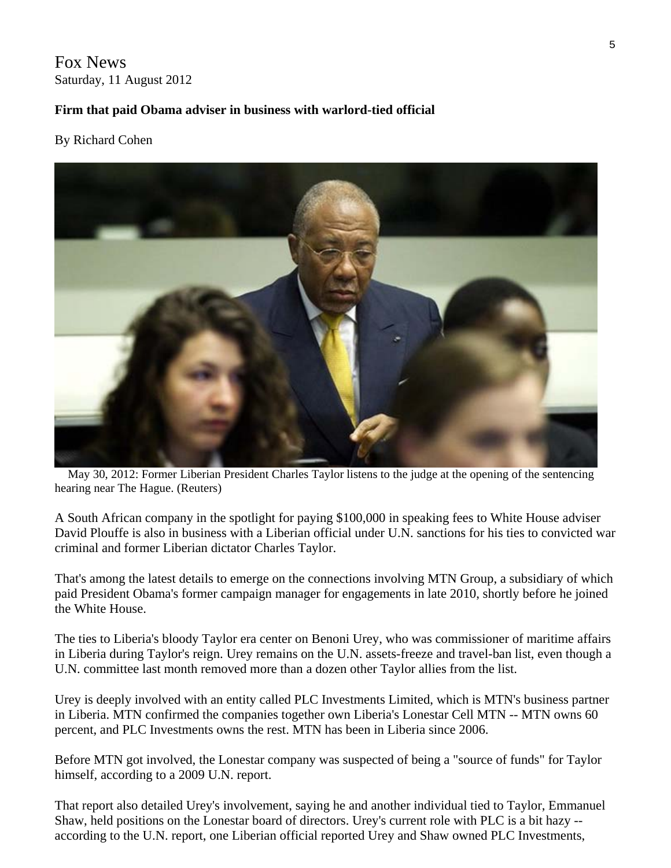Fox News Saturday, 11 August 2012

# **Firm that paid Obama adviser in business with warlord-tied official**

#### By Richard Cohen



 May 30, 2012: Former Liberian President Charles Taylor listens to the judge at the opening of the sentencing hearing near The Hague. (Reuters)

A South African company in the spotlight for paying \$100,000 in speaking fees to White House adviser David Plouffe is also in business with a Liberian official under U.N. sanctions for his ties to convicted war criminal and former Liberian dictator Charles Taylor.

That's among the latest details to emerge on the connections involving MTN Group, a subsidiary of which paid President Obama's former campaign manager for engagements in late 2010, shortly before he joined the White House.

The ties to Liberia's bloody Taylor era center on Benoni Urey, who was commissioner of maritime affairs in Liberia during Taylor's reign. Urey remains on the U.N. assets-freeze and travel-ban list, even though a U.N. committee last month removed more than a dozen other Taylor allies from the list.

Urey is deeply involved with an entity called PLC Investments Limited, which is MTN's business partner in Liberia. MTN confirmed the companies together own Liberia's Lonestar Cell MTN -- MTN owns 60 percent, and PLC Investments owns the rest. MTN has been in Liberia since 2006.

Before MTN got involved, the Lonestar company was suspected of being a "source of funds" for Taylor himself, according to a 2009 U.N. report.

That report also detailed Urey's involvement, saying he and another individual tied to Taylor, Emmanuel Shaw, held positions on the Lonestar board of directors. Urey's current role with PLC is a bit hazy - according to the U.N. report, one Liberian official reported Urey and Shaw owned PLC Investments,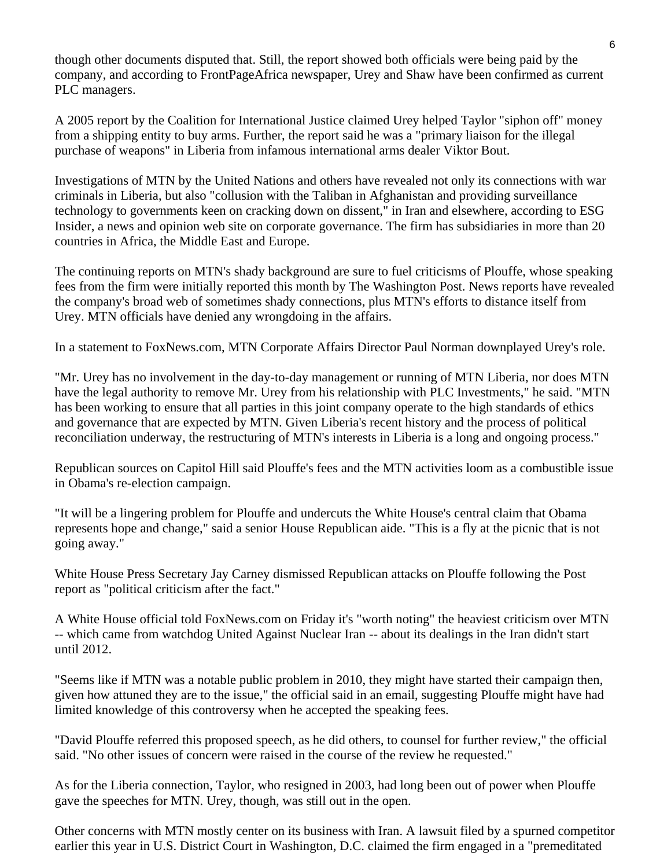though other documents disputed that. Still, the report showed both officials were being paid by the company, and according to FrontPageAfrica newspaper, Urey and Shaw have been confirmed as current PLC managers.

A 2005 report by the Coalition for International Justice claimed Urey helped Taylor "siphon off" money from a shipping entity to buy arms. Further, the report said he was a "primary liaison for the illegal purchase of weapons" in Liberia from infamous international arms dealer Viktor Bout.

Investigations of MTN by the United Nations and others have revealed not only its connections with war criminals in Liberia, but also "collusion with the Taliban in Afghanistan and providing surveillance technology to governments keen on cracking down on dissent," in Iran and elsewhere, according to ESG Insider, a news and opinion web site on corporate governance. The firm has subsidiaries in more than 20 countries in Africa, the Middle East and Europe.

The continuing reports on MTN's shady background are sure to fuel criticisms of Plouffe, whose speaking fees from the firm were initially reported this month by The Washington Post. News reports have revealed the company's broad web of sometimes shady connections, plus MTN's efforts to distance itself from Urey. MTN officials have denied any wrongdoing in the affairs.

In a statement to FoxNews.com, MTN Corporate Affairs Director Paul Norman downplayed Urey's role.

"Mr. Urey has no involvement in the day-to-day management or running of MTN Liberia, nor does MTN have the legal authority to remove Mr. Urey from his relationship with PLC Investments," he said. "MTN has been working to ensure that all parties in this joint company operate to the high standards of ethics and governance that are expected by MTN. Given Liberia's recent history and the process of political reconciliation underway, the restructuring of MTN's interests in Liberia is a long and ongoing process."

Republican sources on Capitol Hill said Plouffe's fees and the MTN activities loom as a combustible issue in Obama's re-election campaign.

"It will be a lingering problem for Plouffe and undercuts the White House's central claim that Obama represents hope and change," said a senior House Republican aide. "This is a fly at the picnic that is not going away."

White House Press Secretary Jay Carney dismissed Republican attacks on Plouffe following the Post report as "political criticism after the fact."

A White House official told FoxNews.com on Friday it's "worth noting" the heaviest criticism over MTN -- which came from watchdog United Against Nuclear Iran -- about its dealings in the Iran didn't start until 2012.

"Seems like if MTN was a notable public problem in 2010, they might have started their campaign then, given how attuned they are to the issue," the official said in an email, suggesting Plouffe might have had limited knowledge of this controversy when he accepted the speaking fees.

"David Plouffe referred this proposed speech, as he did others, to counsel for further review," the official said. "No other issues of concern were raised in the course of the review he requested."

As for the Liberia connection, Taylor, who resigned in 2003, had long been out of power when Plouffe gave the speeches for MTN. Urey, though, was still out in the open.

Other concerns with MTN mostly center on its business with Iran. A lawsuit filed by a spurned competitor earlier this year in U.S. District Court in Washington, D.C. claimed the firm engaged in a "premeditated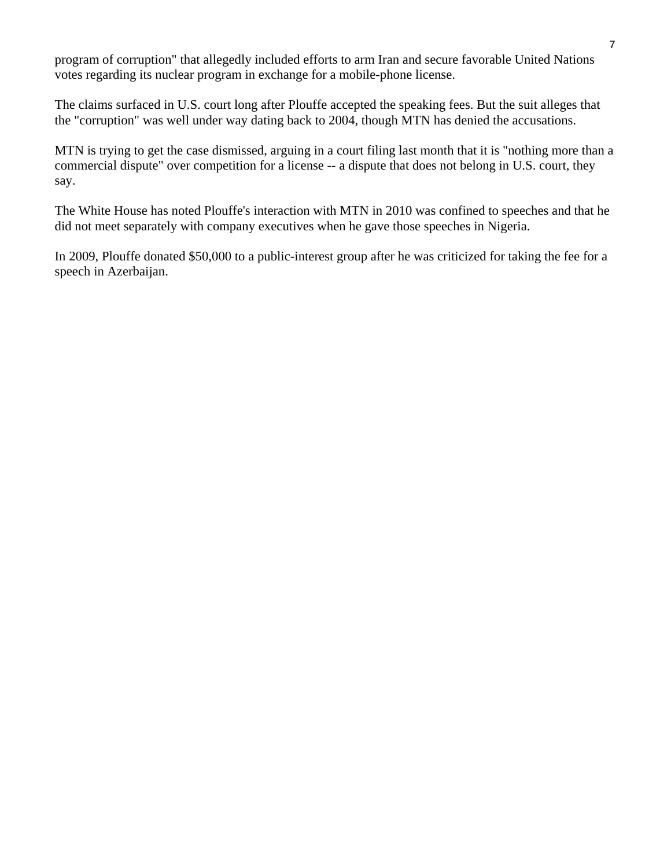program of corruption" that allegedly included efforts to arm Iran and secure favorable United Nations votes regarding its nuclear program in exchange for a mobile-phone license.

The claims surfaced in U.S. court long after Plouffe accepted the speaking fees. But the suit alleges that the "corruption" was well under way dating back to 2004, though MTN has denied the accusations.

MTN is trying to get the case dismissed, arguing in a court filing last month that it is "nothing more than a commercial dispute" over competition for a license -- a dispute that does not belong in U.S. court, they say.

The White House has noted Plouffe's interaction with MTN in 2010 was confined to speeches and that he did not meet separately with company executives when he gave those speeches in Nigeria.

In 2009, Plouffe donated \$50,000 to a public-interest group after he was criticized for taking the fee for a speech in Azerbaijan.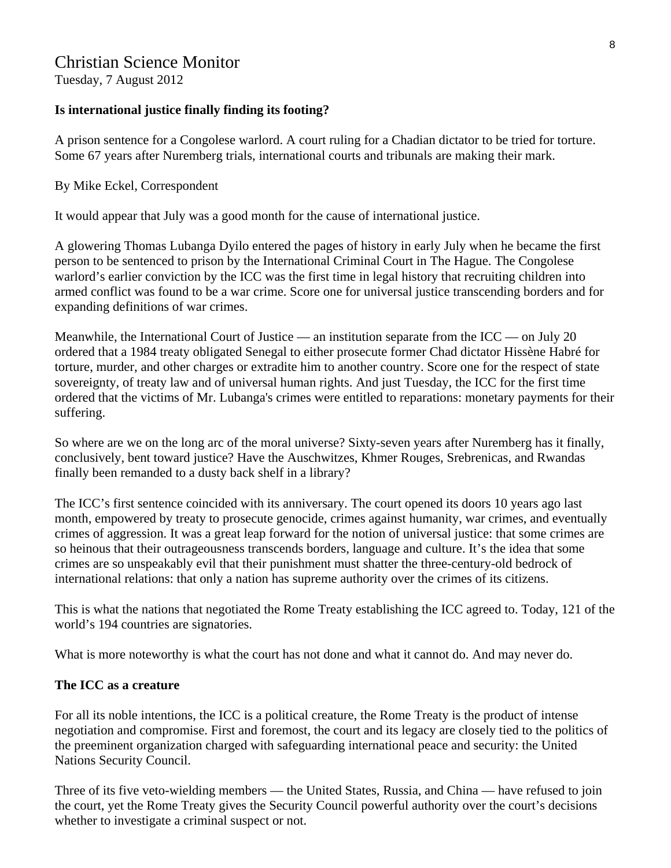# Christian Science Monitor

Tuesday, 7 August 2012

#### **Is international justice finally finding its footing?**

A prison sentence for a Congolese warlord. A court ruling for a Chadian dictator to be tried for torture. Some 67 years after Nuremberg trials, international courts and tribunals are making their mark.

#### By Mike Eckel, Correspondent

It would appear that July was a good month for the cause of international justice.

A glowering Thomas Lubanga Dyilo entered the pages of history in early July when he became the first person to be sentenced to prison by the International Criminal Court in The Hague. The Congolese warlord's earlier conviction by the ICC was the first time in legal history that recruiting children into armed conflict was found to be a war crime. Score one for universal justice transcending borders and for expanding definitions of war crimes.

Meanwhile, the International Court of Justice — an institution separate from the ICC — on July 20 ordered that a 1984 treaty obligated Senegal to either prosecute former Chad dictator Hissène Habré for torture, murder, and other charges or extradite him to another country. Score one for the respect of state sovereignty, of treaty law and of universal human rights. And just Tuesday, the ICC for the first time ordered that the victims of Mr. Lubanga's crimes were entitled to reparations: monetary payments for their suffering.

So where are we on the long arc of the moral universe? Sixty-seven years after Nuremberg has it finally, conclusively, bent toward justice? Have the Auschwitzes, Khmer Rouges, Srebrenicas, and Rwandas finally been remanded to a dusty back shelf in a library?

The ICC's first sentence coincided with its anniversary. The court opened its doors 10 years ago last month, empowered by treaty to prosecute genocide, crimes against humanity, war crimes, and eventually crimes of aggression. It was a great leap forward for the notion of universal justice: that some crimes are so heinous that their outrageousness transcends borders, language and culture. It's the idea that some crimes are so unspeakably evil that their punishment must shatter the three-century-old bedrock of international relations: that only a nation has supreme authority over the crimes of its citizens.

This is what the nations that negotiated the Rome Treaty establishing the ICC agreed to. Today, 121 of the world's 194 countries are signatories.

What is more noteworthy is what the court has not done and what it cannot do. And may never do.

#### **The ICC as a creature**

For all its noble intentions, the ICC is a political creature, the Rome Treaty is the product of intense negotiation and compromise. First and foremost, the court and its legacy are closely tied to the politics of the preeminent organization charged with safeguarding international peace and security: the United Nations Security Council.

Three of its five veto-wielding members — the United States, Russia, and China — have refused to join the court, yet the Rome Treaty gives the Security Council powerful authority over the court's decisions whether to investigate a criminal suspect or not.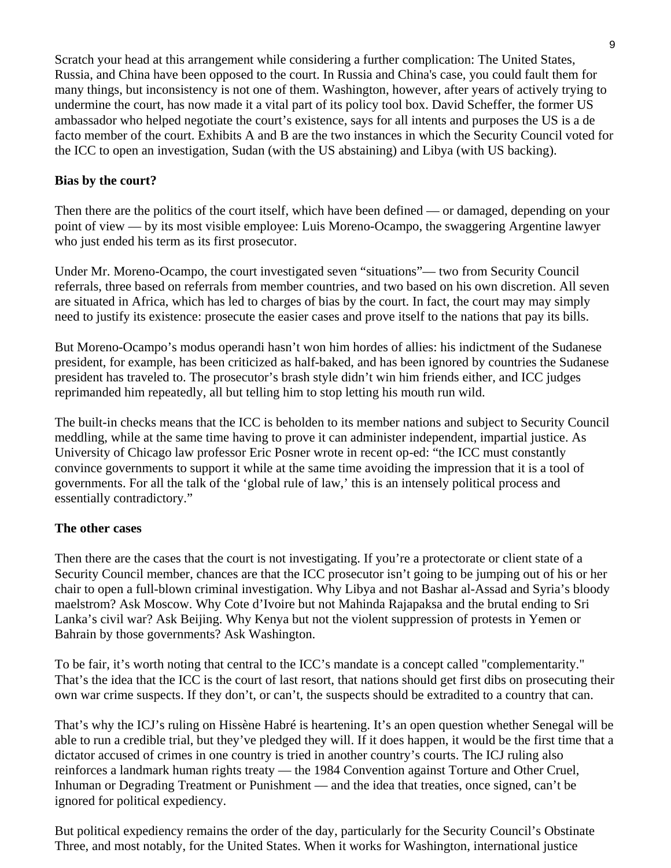Scratch your head at this arrangement while considering a further complication: The United States, Russia, and China have been opposed to the court. In Russia and China's case, you could fault them for many things, but inconsistency is not one of them. Washington, however, after years of actively trying to undermine the court, has now made it a vital part of its policy tool box. David Scheffer, the former US ambassador who helped negotiate the court's existence, says for all intents and purposes the US is a de facto member of the court. Exhibits A and B are the two instances in which the Security Council voted for the ICC to open an investigation, Sudan (with the US abstaining) and Libya (with US backing).

# **Bias by the court?**

Then there are the politics of the court itself, which have been defined — or damaged, depending on your point of view — by its most visible employee: Luis Moreno-Ocampo, the swaggering Argentine lawyer who just ended his term as its first prosecutor.

Under Mr. Moreno-Ocampo, the court investigated seven "situations"— two from Security Council referrals, three based on referrals from member countries, and two based on his own discretion. All seven are situated in Africa, which has led to charges of bias by the court. In fact, the court may may simply need to justify its existence: prosecute the easier cases and prove itself to the nations that pay its bills.

But Moreno-Ocampo's modus operandi hasn't won him hordes of allies: his indictment of the Sudanese president, for example, has been criticized as half-baked, and has been ignored by countries the Sudanese president has traveled to. The prosecutor's brash style didn't win him friends either, and ICC judges reprimanded him repeatedly, all but telling him to stop letting his mouth run wild.

The built-in checks means that the ICC is beholden to its member nations and subject to Security Council meddling, while at the same time having to prove it can administer independent, impartial justice. As University of Chicago law professor Eric Posner wrote in recent op-ed: "the ICC must constantly convince governments to support it while at the same time avoiding the impression that it is a tool of governments. For all the talk of the 'global rule of law,' this is an intensely political process and essentially contradictory."

# **The other cases**

Then there are the cases that the court is not investigating. If you're a protectorate or client state of a Security Council member, chances are that the ICC prosecutor isn't going to be jumping out of his or her chair to open a full-blown criminal investigation. Why Libya and not Bashar al-Assad and Syria's bloody maelstrom? Ask Moscow. Why Cote d'Ivoire but not Mahinda Rajapaksa and the brutal ending to Sri Lanka's civil war? Ask Beijing. Why Kenya but not the violent suppression of protests in Yemen or Bahrain by those governments? Ask Washington.

To be fair, it's worth noting that central to the ICC's mandate is a concept called "complementarity." That's the idea that the ICC is the court of last resort, that nations should get first dibs on prosecuting their own war crime suspects. If they don't, or can't, the suspects should be extradited to a country that can.

That's why the ICJ's ruling on Hissène Habré is heartening. It's an open question whether Senegal will be able to run a credible trial, but they've pledged they will. If it does happen, it would be the first time that a dictator accused of crimes in one country is tried in another country's courts. The ICJ ruling also reinforces a landmark human rights treaty — the 1984 Convention against Torture and Other Cruel, Inhuman or Degrading Treatment or Punishment — and the idea that treaties, once signed, can't be ignored for political expediency.

But political expediency remains the order of the day, particularly for the Security Council's Obstinate Three, and most notably, for the United States. When it works for Washington, international justice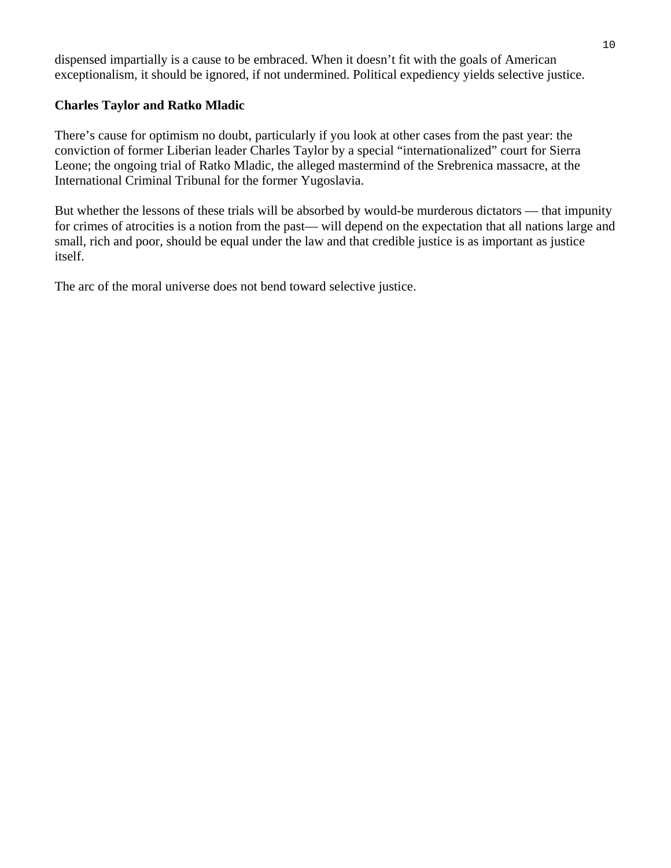dispensed impartially is a cause to be embraced. When it doesn't fit with the goals of American exceptionalism, it should be ignored, if not undermined. Political expediency yields selective justice.

### **Charles Taylor and Ratko Mladic**

There's cause for optimism no doubt, particularly if you look at other cases from the past year: the conviction of former Liberian leader Charles Taylor by a special "internationalized" court for Sierra Leone; the ongoing trial of Ratko Mladic, the alleged mastermind of the Srebrenica massacre, at the International Criminal Tribunal for the former Yugoslavia.

But whether the lessons of these trials will be absorbed by would-be murderous dictators — that impunity for crimes of atrocities is a notion from the past— will depend on the expectation that all nations large and small, rich and poor, should be equal under the law and that credible justice is as important as justice itself.

The arc of the moral universe does not bend toward selective justice.